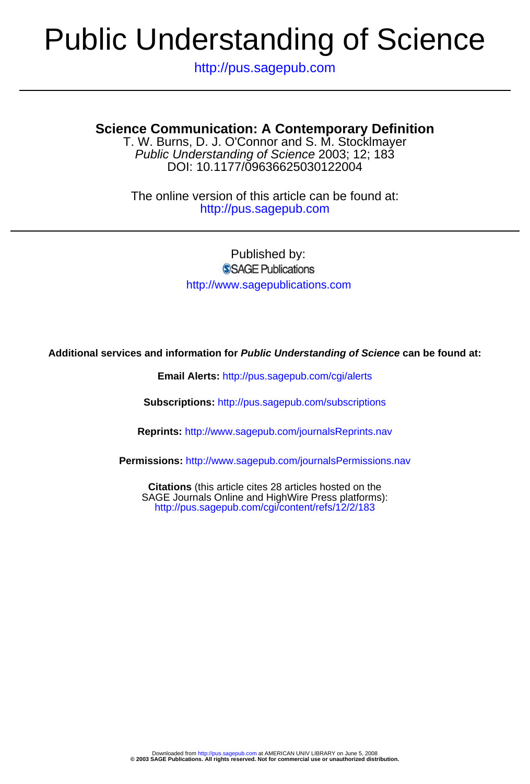# Public Understanding of Science

http://pus.sagepub.com

# **Science Communication: A Contemporary Definition**

DOI: 10.1177/09636625030122004 Public Understanding of Science 2003; 12; 183 T. W. Burns, D. J. O'Connor and S. M. Stocklmayer

http://pus.sagepub.com The online version of this article can be found at:

> Published by: SSAGE Publications http://www.sagepublications.com

**Additional services and information for Public Understanding of Science can be found at:**

**Email Alerts:** <http://pus.sagepub.com/cgi/alerts>

**Subscriptions:** <http://pus.sagepub.com/subscriptions>

**Reprints:** <http://www.sagepub.com/journalsReprints.nav>

**Permissions:** <http://www.sagepub.com/journalsPermissions.nav>

<http://pus.sagepub.com/cgi/content/refs/12/2/183> SAGE Journals Online and HighWire Press platforms): **Citations** (this article cites 28 articles hosted on the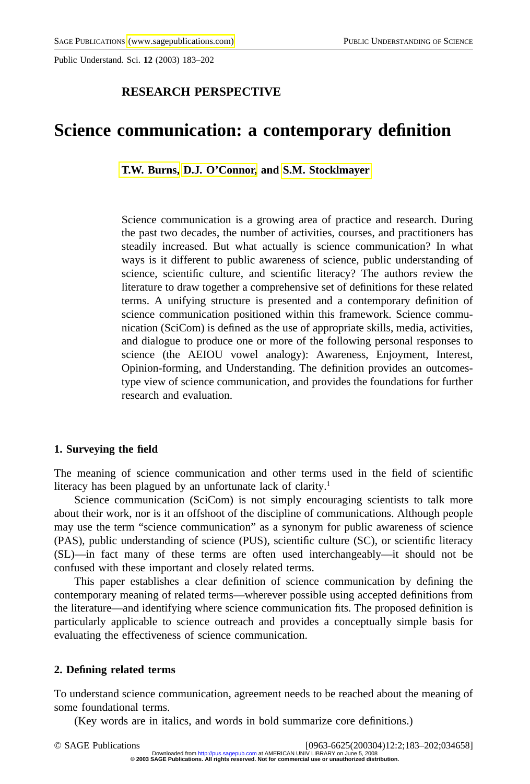Public Understand. Sci. **12** (2003) 183–202

# **RESEARCH PERSPECTIVE**

# **Science communication: a contemporary definition**

**[T.W. Burns, D.J. O'Connor,](#page-20-0) and [S.M. Stocklmayer](#page-20-0)**

Science communication is a growing area of practice and research. During the past two decades, the number of activities, courses, and practitioners has steadily increased. But what actually is science communication? In what ways is it different to public awareness of science, public understanding of science, scientific culture, and scientific literacy? The authors review the literature to draw together a comprehensive set of definitions for these related terms. A unifying structure is presented and a contemporary definition of science communication positioned within this framework. Science communication (SciCom) is defined as the use of appropriate skills, media, activities, and dialogue to produce one or more of the following personal responses to science (the AEIOU vowel analogy): Awareness, Enjoyment, Interest, Opinion-forming, and Understanding. The definition provides an outcomestype view of science communication, and provides the foundations for further research and evaluation.

#### **1. Surveying the field**

The meaning of science communication and other terms used in the field of scientific literacy has been plagued by an unfortunate lack of clarity.<sup>1</sup>

Science communication (SciCom) is not simply encouraging scientists to talk more about their work, nor is it an offshoot of the discipline of communications. Although people may use the term "science communication" as a synonym for public awareness of science (PAS), public understanding of science (PUS), scientific culture (SC), or scientific literacy (SL)—in fact many of these terms are often used interchangeably—it should not be confused with these important and closely related terms.

This paper establishes a clear definition of science communication by defining the contemporary meaning of related terms—wherever possible using accepted definitions from the literature—and identifying where science communication fits. The proposed definition is particularly applicable to science outreach and provides a conceptually simple basis for evaluating the effectiveness of science communication.

# **2. Defining related terms**

To understand science communication, agreement needs to be reached about the meaning of some foundational terms.

(Key words are in italics, and words in bold summarize core definitions.)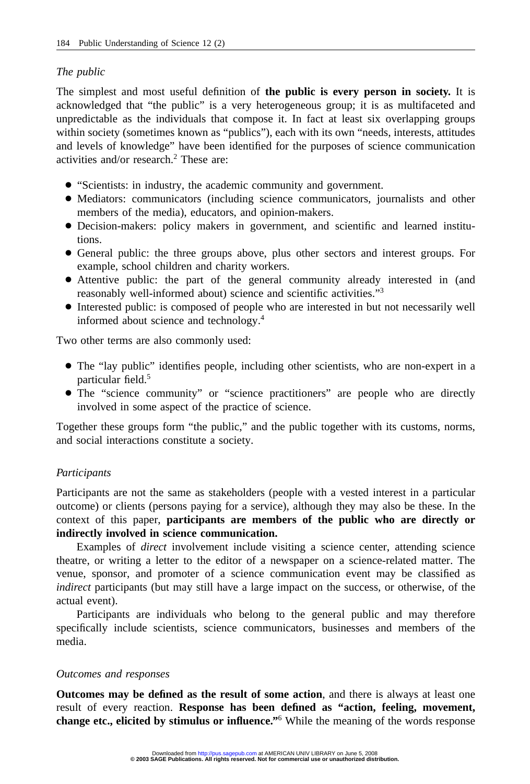# *The public*

The simplest and most useful definition of **the public is every person in society.** It is acknowledged that "the public" is a very heterogeneous group; it is as multifaceted and unpredictable as the individuals that compose it. In fact at least six overlapping groups within society (sometimes known as "publics"), each with its own "needs, interests, attitudes and levels of knowledge" have been identified for the purposes of science communication activities and/or research.<sup>2</sup> These are:

- "Scientists: in industry, the academic community and government.
- Mediators: communicators (including science communicators, journalists and other members of the media), educators, and opinion-makers.
- Decision-makers: policy makers in government, and scientific and learned institutions.
- General public: the three groups above, plus other sectors and interest groups. For example, school children and charity workers.
- Attentive public: the part of the general community already interested in (and reasonably well-informed about) science and scientific activities."3
- Interested public: is composed of people who are interested in but not necessarily well informed about science and technology.4

Two other terms are also commonly used:

- The "lay public" identifies people, including other scientists, who are non-expert in a particular field.<sup>5</sup>
- The "science community" or "science practitioners" are people who are directly involved in some aspect of the practice of science.

Together these groups form "the public," and the public together with its customs, norms, and social interactions constitute a society.

# *Participants*

Participants are not the same as stakeholders (people with a vested interest in a particular outcome) or clients (persons paying for a service), although they may also be these. In the context of this paper, **participants are members of the public who are directly or indirectly involved in science communication.**

Examples of *direct* involvement include visiting a science center, attending science theatre, or writing a letter to the editor of a newspaper on a science-related matter. The venue, sponsor, and promoter of a science communication event may be classified as *indirect* participants (but may still have a large impact on the success, or otherwise, of the actual event).

Participants are individuals who belong to the general public and may therefore specifically include scientists, science communicators, businesses and members of the media.

# *Outcomes and responses*

**Outcomes may be defined as the result of some action**, and there is always at least one result of every reaction. **Response has been defined as "action, feeling, movement, change etc., elicited by stimulus or influence."**<sup>6</sup> While the meaning of the words response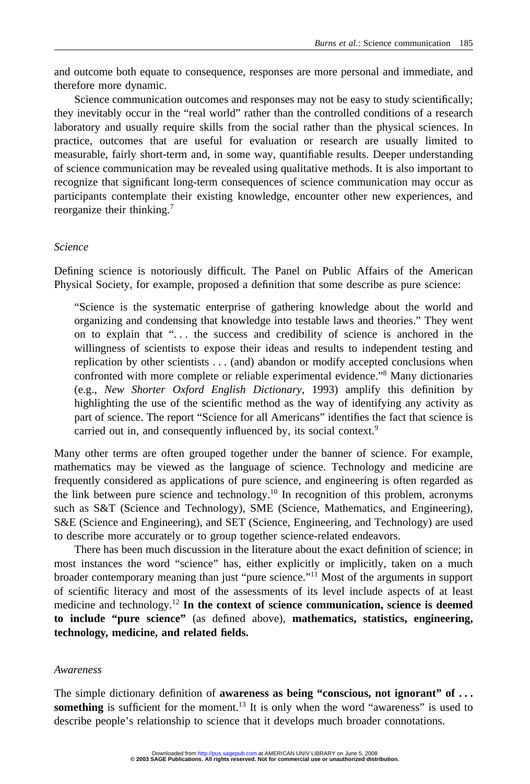and outcome both equate to consequence, responses are more personal and immediate, and therefore more dynamic.

Science communication outcomes and responses may not be easy to study scientifically; they inevitably occur in the "real world" rather than the controlled conditions of a research laboratory and usually require skills from the social rather than the physical sciences. In practice, outcomes that are useful for evaluation or research are usually limited to measurable, fairly short-term and, in some way, quantifiable results. Deeper understanding of science communication may be revealed using qualitative methods. It is also important to recognize that significant long-term consequences of science communication may occur as participants contemplate their existing knowledge, encounter other new experiences, and reorganize their thinking.<sup>7</sup>

# *Science*

Defining science is notoriously difficult. The Panel on Public Affairs of the American Physical Society, for example, proposed a definition that some describe as pure science:

"Science is the systematic enterprise of gathering knowledge about the world and organizing and condensing that knowledge into testable laws and theories." They went on to explain that ". . . the success and credibility of science is anchored in the willingness of scientists to expose their ideas and results to independent testing and replication by other scientists . . . (and) abandon or modify accepted conclusions when confronted with more complete or reliable experimental evidence."8 Many dictionaries (e.g., *New Shorter Oxford English Dictionary*, 1993) amplify this definition by highlighting the use of the scientific method as the way of identifying any activity as part of science. The report "Science for all Americans" identifies the fact that science is carried out in, and consequently influenced by, its social context.<sup>9</sup>

Many other terms are often grouped together under the banner of science. For example, mathematics may be viewed as the language of science. Technology and medicine are frequently considered as applications of pure science, and engineering is often regarded as the link between pure science and technology.<sup>10</sup> In recognition of this problem, acronyms such as S&T (Science and Technology), SME (Science, Mathematics, and Engineering), S&E (Science and Engineering), and SET (Science, Engineering, and Technology) are used to describe more accurately or to group together science-related endeavors.

There has been much discussion in the literature about the exact definition of science; in most instances the word "science" has, either explicitly or implicitly, taken on a much broader contemporary meaning than just "pure science."11 Most of the arguments in support of scientific literacy and most of the assessments of its level include aspects of at least medicine and technology.12 **In the context of science communication, science is deemed to include "pure science"** (as defined above), **mathematics, statistics, engineering, technology, medicine, and related fields.**

# *Awareness*

The simple dictionary definition of **awareness as being "conscious, not ignorant" of . . .** something is sufficient for the moment.<sup>13</sup> It is only when the word "awareness" is used to describe people's relationship to science that it develops much broader connotations.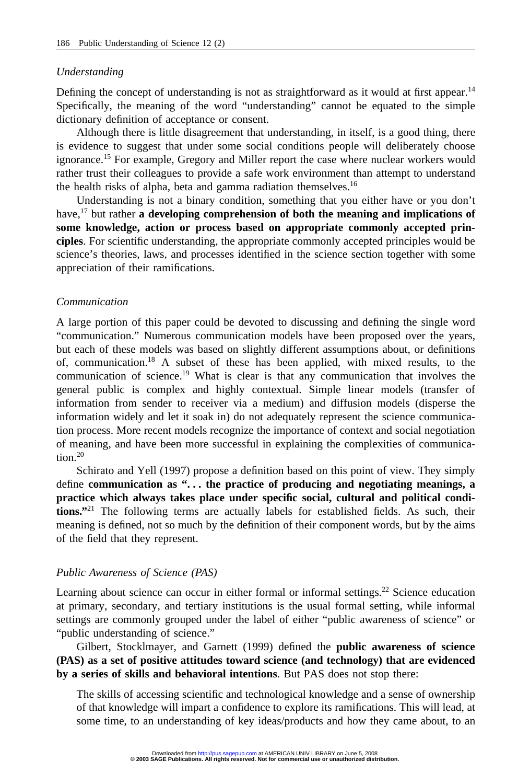#### *Understanding*

Defining the concept of understanding is not as straightforward as it would at first appear.<sup>14</sup> Specifically, the meaning of the word "understanding" cannot be equated to the simple dictionary definition of acceptance or consent.

Although there is little disagreement that understanding, in itself, is a good thing, there is evidence to suggest that under some social conditions people will deliberately choose ignorance.<sup>15</sup> For example, Gregory and Miller report the case where nuclear workers would rather trust their colleagues to provide a safe work environment than attempt to understand the health risks of alpha, beta and gamma radiation themselves.<sup>16</sup>

Understanding is not a binary condition, something that you either have or you don't have,17 but rather **a developing comprehension of both the meaning and implications of some knowledge, action or process based on appropriate commonly accepted principles**. For scientific understanding, the appropriate commonly accepted principles would be science's theories, laws, and processes identified in the science section together with some appreciation of their ramifications.

#### *Communication*

A large portion of this paper could be devoted to discussing and defining the single word "communication." Numerous communication models have been proposed over the years, but each of these models was based on slightly different assumptions about, or definitions of, communication.18 A subset of these has been applied, with mixed results, to the communication of science.19 What is clear is that any communication that involves the general public is complex and highly contextual. Simple linear models (transfer of information from sender to receiver via a medium) and diffusion models (disperse the information widely and let it soak in) do not adequately represent the science communication process. More recent models recognize the importance of context and social negotiation of meaning, and have been more successful in explaining the complexities of communication. $20$ 

Schirato and Yell (1997) propose a definition based on this point of view. They simply define **communication as ". . . the practice of producing and negotiating meanings, a practice which always takes place under specific social, cultural and political conditions."**<sup>21</sup> The following terms are actually labels for established fields. As such, their meaning is defined, not so much by the definition of their component words, but by the aims of the field that they represent.

#### *Public Awareness of Science (PAS)*

Learning about science can occur in either formal or informal settings.<sup>22</sup> Science education at primary, secondary, and tertiary institutions is the usual formal setting, while informal settings are commonly grouped under the label of either "public awareness of science" or "public understanding of science."

Gilbert, Stocklmayer, and Garnett (1999) defined the **public awareness of science (PAS) as a set of positive attitudes toward science (and technology) that are evidenced by a series of skills and behavioral intentions**. But PAS does not stop there:

The skills of accessing scientific and technological knowledge and a sense of ownership of that knowledge will impart a confidence to explore its ramifications. This will lead, at some time, to an understanding of key ideas/products and how they came about, to an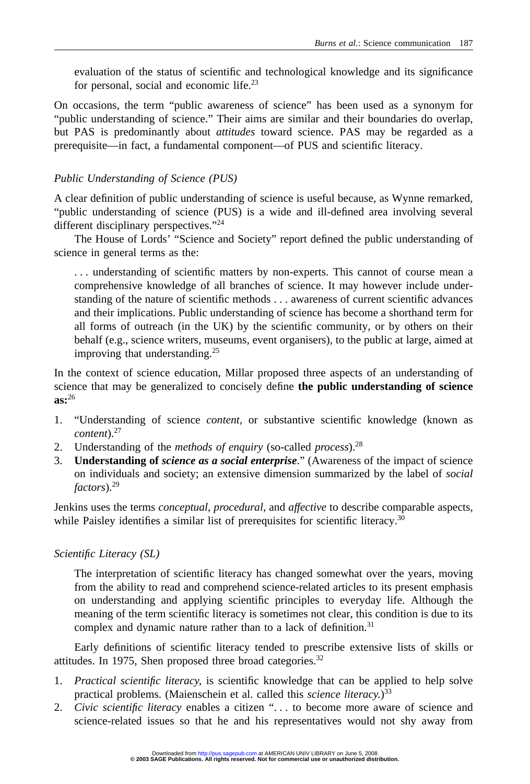evaluation of the status of scientific and technological knowledge and its significance for personal, social and economic life.<sup>23</sup>

On occasions, the term "public awareness of science" has been used as a synonym for "public understanding of science." Their aims are similar and their boundaries do overlap, but PAS is predominantly about *attitudes* toward science. PAS may be regarded as a prerequisite—in fact, a fundamental component—of PUS and scientific literacy.

# *Public Understanding of Science (PUS)*

A clear definition of public understanding of science is useful because, as Wynne remarked, "public understanding of science (PUS) is a wide and ill-defined area involving several different disciplinary perspectives."24

The House of Lords' "Science and Society" report defined the public understanding of science in general terms as the:

. . . understanding of scientific matters by non-experts. This cannot of course mean a comprehensive knowledge of all branches of science. It may however include understanding of the nature of scientific methods . . . awareness of current scientific advances and their implications. Public understanding of science has become a shorthand term for all forms of outreach (in the UK) by the scientific community, or by others on their behalf (e.g., science writers, museums, event organisers), to the public at large, aimed at improving that understanding.25

In the context of science education, Millar proposed three aspects of an understanding of science that may be generalized to concisely define **the public understanding of science as:**<sup>26</sup>

- 1. "Understanding of science *content,* or substantive scientific knowledge (known as *content*).27
- 2. Understanding of the *methods of enquiry* (so-called *process*).28
- 3. **Understanding of** *science as a social enterprise*." (Awareness of the impact of science on individuals and society; an extensive dimension summarized by the label of *social factors*).29

Jenkins uses the terms *conceptual*, *procedural*, and *affective* to describe comparable aspects, while Paisley identifies a similar list of prerequisites for scientific literacy.<sup>30</sup>

# *Scientific Literacy (SL)*

The interpretation of scientific literacy has changed somewhat over the years, moving from the ability to read and comprehend science-related articles to its present emphasis on understanding and applying scientific principles to everyday life. Although the meaning of the term scientific literacy is sometimes not clear, this condition is due to its complex and dynamic nature rather than to a lack of definition.<sup>31</sup>

Early definitions of scientific literacy tended to prescribe extensive lists of skills or attitudes. In 1975, Shen proposed three broad categories.<sup>32</sup>

- 1. *Practical scientific literacy,* is scientific knowledge that can be applied to help solve practical problems. (Maienschein et al. called this *science literacy.*) 33
- 2. *Civic scientific literacy* enables a citizen ". . . to become more aware of science and science-related issues so that he and his representatives would not shy away from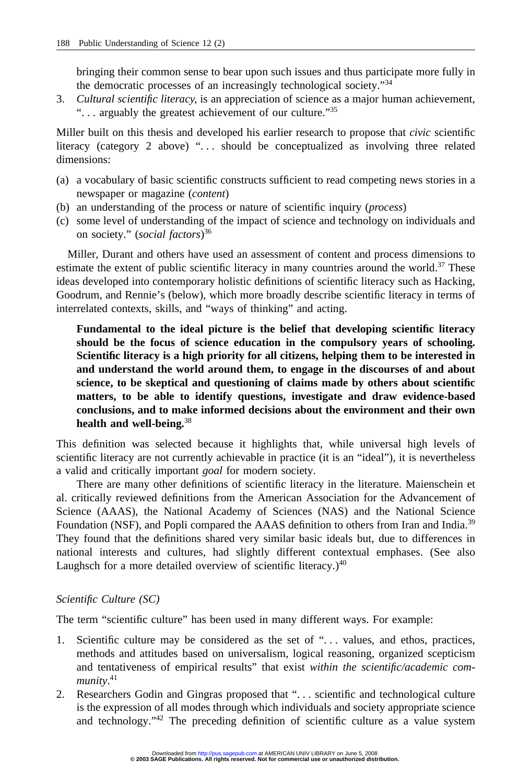bringing their common sense to bear upon such issues and thus participate more fully in the democratic processes of an increasingly technological society."34

3. *Cultural scientific literacy,* is an appreciation of science as a major human achievement, "... arguably the greatest achievement of our culture."<sup>35</sup>

Miller built on this thesis and developed his earlier research to propose that *civic* scientific literacy (category 2 above) "... should be conceptualized as involving three related dimensions:

- (a) a vocabulary of basic scientific constructs sufficient to read competing news stories in a newspaper or magazine (*content*)
- (b) an understanding of the process or nature of scientific inquiry (*process*)
- (c) some level of understanding of the impact of science and technology on individuals and on society." (*social factors*) 36

Miller, Durant and others have used an assessment of content and process dimensions to estimate the extent of public scientific literacy in many countries around the world.<sup>37</sup> These ideas developed into contemporary holistic definitions of scientific literacy such as Hacking, Goodrum, and Rennie's (below), which more broadly describe scientific literacy in terms of interrelated contexts, skills, and "ways of thinking" and acting.

**Fundamental to the ideal picture is the belief that developing scientific literacy should be the focus of science education in the compulsory years of schooling. Scientific literacy is a high priority for all citizens, helping them to be interested in and understand the world around them, to engage in the discourses of and about science, to be skeptical and questioning of claims made by others about scientific matters, to be able to identify questions, investigate and draw evidence-based conclusions, and to make informed decisions about the environment and their own health and well-being.**<sup>38</sup>

This definition was selected because it highlights that, while universal high levels of scientific literacy are not currently achievable in practice (it is an "ideal"), it is nevertheless a valid and critically important *goal* for modern society.

There are many other definitions of scientific literacy in the literature. Maienschein et al. critically reviewed definitions from the American Association for the Advancement of Science (AAAS), the National Academy of Sciences (NAS) and the National Science Foundation (NSF), and Popli compared the AAAS definition to others from Iran and India.<sup>39</sup> They found that the definitions shared very similar basic ideals but, due to differences in national interests and cultures, had slightly different contextual emphases. (See also Laughsch for a more detailed overview of scientific literacy.) $40$ 

# *Scientific Culture (SC)*

The term "scientific culture" has been used in many different ways. For example:

- 1. Scientific culture may be considered as the set of ". . . values, and ethos, practices, methods and attitudes based on universalism, logical reasoning, organized scepticism and tentativeness of empirical results" that exist *within the scientific/academic community*. 41
- 2. Researchers Godin and Gingras proposed that ". . . scientific and technological culture is the expression of all modes through which individuals and society appropriate science and technology."42 The preceding definition of scientific culture as a value system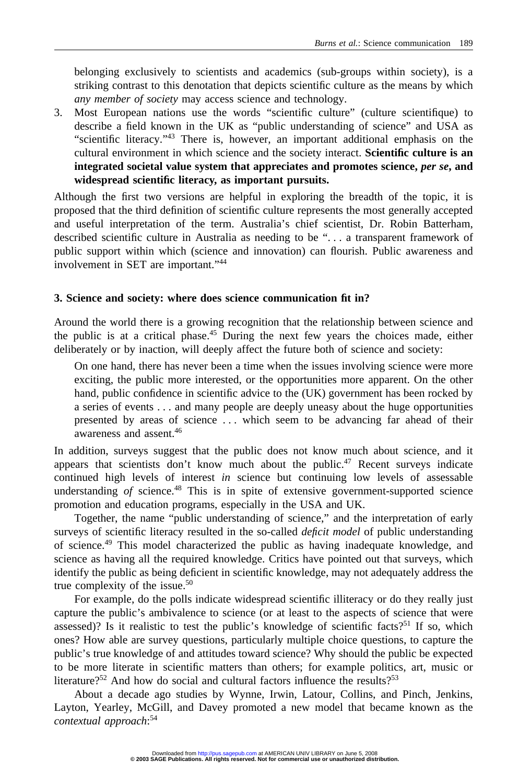belonging exclusively to scientists and academics (sub-groups within society), is a striking contrast to this denotation that depicts scientific culture as the means by which *any member of society* may access science and technology.

3. Most European nations use the words "scientific culture" (culture scientifique) to describe a field known in the UK as "public understanding of science" and USA as "scientific literacy."43 There is, however, an important additional emphasis on the cultural environment in which science and the society interact. **Scientific culture is an integrated societal value system that appreciates and promotes science,** *per se***, and widespread scientific literacy, as important pursuits.**

Although the first two versions are helpful in exploring the breadth of the topic, it is proposed that the third definition of scientific culture represents the most generally accepted and useful interpretation of the term. Australia's chief scientist, Dr. Robin Batterham, described scientific culture in Australia as needing to be ". . . a transparent framework of public support within which (science and innovation) can flourish. Public awareness and involvement in SET are important."44

# **3. Science and society: where does science communication fit in?**

Around the world there is a growing recognition that the relationship between science and the public is at a critical phase.45 During the next few years the choices made, either deliberately or by inaction, will deeply affect the future both of science and society:

On one hand, there has never been a time when the issues involving science were more exciting, the public more interested, or the opportunities more apparent. On the other hand, public confidence in scientific advice to the (UK) government has been rocked by a series of events . . . and many people are deeply uneasy about the huge opportunities presented by areas of science . . . which seem to be advancing far ahead of their awareness and assent.46

In addition, surveys suggest that the public does not know much about science, and it appears that scientists don't know much about the public.<sup>47</sup> Recent surveys indicate continued high levels of interest *in* science but continuing low levels of assessable understanding of science.<sup>48</sup> This is in spite of extensive government-supported science promotion and education programs, especially in the USA and UK.

Together, the name "public understanding of science," and the interpretation of early surveys of scientific literacy resulted in the so-called *deficit model* of public understanding of science.49 This model characterized the public as having inadequate knowledge, and science as having all the required knowledge. Critics have pointed out that surveys, which identify the public as being deficient in scientific knowledge, may not adequately address the true complexity of the issue. $50$ 

For example, do the polls indicate widespread scientific illiteracy or do they really just capture the public's ambivalence to science (or at least to the aspects of science that were assessed)? Is it realistic to test the public's knowledge of scientific facts?<sup>51</sup> If so, which ones? How able are survey questions, particularly multiple choice questions, to capture the public's true knowledge of and attitudes toward science? Why should the public be expected to be more literate in scientific matters than others; for example politics, art, music or literature?<sup>52</sup> And how do social and cultural factors influence the results?<sup>53</sup>

About a decade ago studies by Wynne, Irwin, Latour, Collins, and Pinch, Jenkins, Layton, Yearley, McGill, and Davey promoted a new model that became known as the *contextual approach*: 54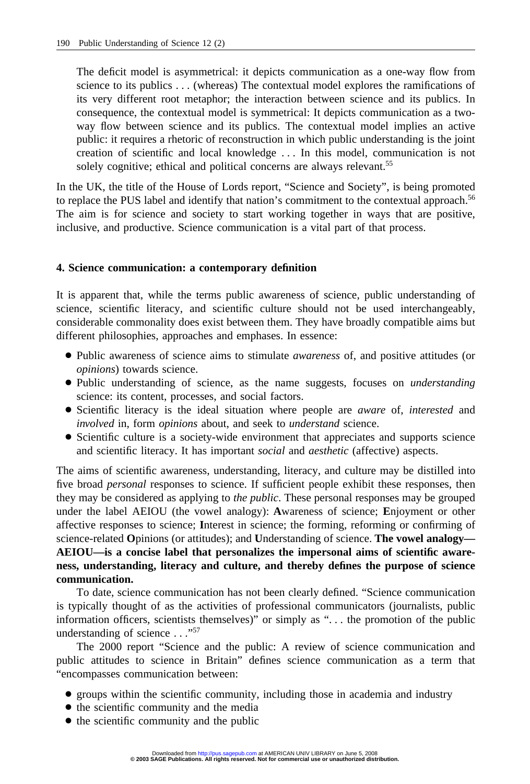The deficit model is asymmetrical: it depicts communication as a one-way flow from science to its publics . . . (whereas) The contextual model explores the ramifications of its very different root metaphor; the interaction between science and its publics. In consequence, the contextual model is symmetrical: It depicts communication as a twoway flow between science and its publics. The contextual model implies an active public: it requires a rhetoric of reconstruction in which public understanding is the joint creation of scientific and local knowledge . . . In this model, communication is not solely cognitive; ethical and political concerns are always relevant.<sup>55</sup>

In the UK, the title of the House of Lords report, "Science and Society", is being promoted to replace the PUS label and identify that nation's commitment to the contextual approach.<sup>56</sup> The aim is for science and society to start working together in ways that are positive, inclusive, and productive. Science communication is a vital part of that process.

# **4. Science communication: a contemporary definition**

It is apparent that, while the terms public awareness of science, public understanding of science, scientific literacy, and scientific culture should not be used interchangeably, considerable commonality does exist between them. They have broadly compatible aims but different philosophies, approaches and emphases. In essence:

- Public awareness of science aims to stimulate *awareness* of, and positive attitudes (or *opinions*) towards science.
- Public understanding of science, as the name suggests, focuses on *understanding* science: its content, processes, and social factors.
- Scientific literacy is the ideal situation where people are *aware* of, *interested* and *involved* in, form *opinions* about, and seek to *understand* science.
- Scientific culture is a society-wide environment that appreciates and supports science and scientific literacy. It has important *social* and *aesthetic* (affective) aspects.

The aims of scientific awareness, understanding, literacy, and culture may be distilled into five broad *personal* responses to science. If sufficient people exhibit these responses, then they may be considered as applying to *the public*. These personal responses may be grouped under the label AEIOU (the vowel analogy): **A**wareness of science; **E**njoyment or other affective responses to science; **I**nterest in science; the forming, reforming or confirming of science-related **O**pinions (or attitudes); and **U**nderstanding of science. **The vowel analogy— AEIOU—is a concise label that personalizes the impersonal aims of scientific awareness, understanding, literacy and culture, and thereby defines the purpose of science communication.**

To date, science communication has not been clearly defined. "Science communication is typically thought of as the activities of professional communicators (journalists, public information officers, scientists themselves)" or simply as ". . . the promotion of the public understanding of science  $\ldots$ <sup>57</sup>

The 2000 report "Science and the public: A review of science communication and public attitudes to science in Britain" defines science communication as a term that "encompasses communication between:

- groups within the scientific community, including those in academia and industry
- the scientific community and the media
- the scientific community and the public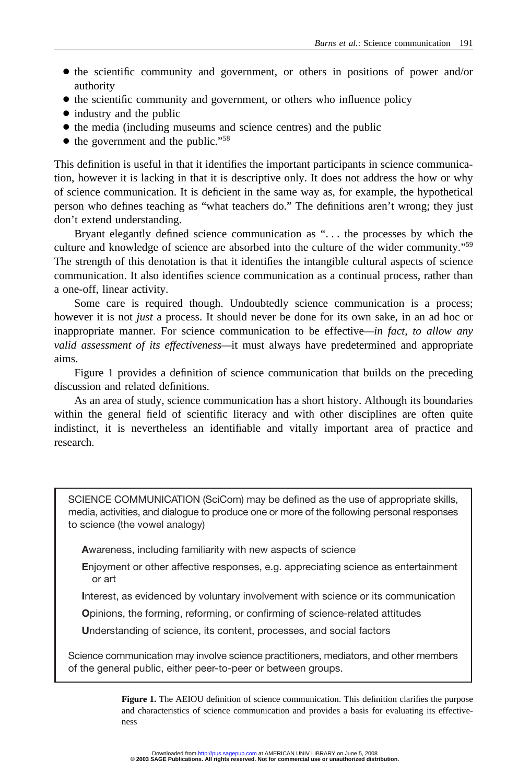- the scientific community and government, or others in positions of power and/or authority
- the scientific community and government, or others who influence policy
- industry and the public
- the media (including museums and science centres) and the public
- the government and the public."<sup>58</sup>

This definition is useful in that it identifies the important participants in science communication, however it is lacking in that it is descriptive only. It does not address the how or why of science communication. It is deficient in the same way as, for example, the hypothetical person who defines teaching as "what teachers do." The definitions aren't wrong; they just don't extend understanding.

Bryant elegantly defined science communication as ". . . the processes by which the culture and knowledge of science are absorbed into the culture of the wider community."59 The strength of this denotation is that it identifies the intangible cultural aspects of science communication. It also identifies science communication as a continual process, rather than a one-off, linear activity.

Some care is required though. Undoubtedly science communication is a process; however it is not *just* a process. It should never be done for its own sake, in an ad hoc or inappropriate manner. For science communication to be effective*—in fact, to allow any valid assessment of its effectiveness—*it must always have predetermined and appropriate aims.

Figure 1 provides a definition of science communication that builds on the preceding discussion and related definitions.

As an area of study, science communication has a short history. Although its boundaries within the general field of scientific literacy and with other disciplines are often quite indistinct, it is nevertheless an identifiable and vitally important area of practice and research.

SCIENCE COMMUNICATION (SciCom) may be defined as the use of appropriate skills, media, activities, and dialogue to produce one or more of the following personal responses to science (the vowel analogy)

**A**wareness, including familiarity with new aspects of science

**E**njoyment or other affective responses, e.g. appreciating science as entertainment or art

**I**nterest, as evidenced by voluntary involvement with science or its communication

**O**pinions, the forming, reforming, or confirming of science-related attitudes

**U**nderstanding of science, its content, processes, and social factors

Science communication may involve science practitioners, mediators, and other members of the general public, either peer-to-peer or between groups.

> **Figure 1.** The AEIOU definition of science communication. This definition clarifies the purpose and characteristics of science communication and provides a basis for evaluating its effectiveness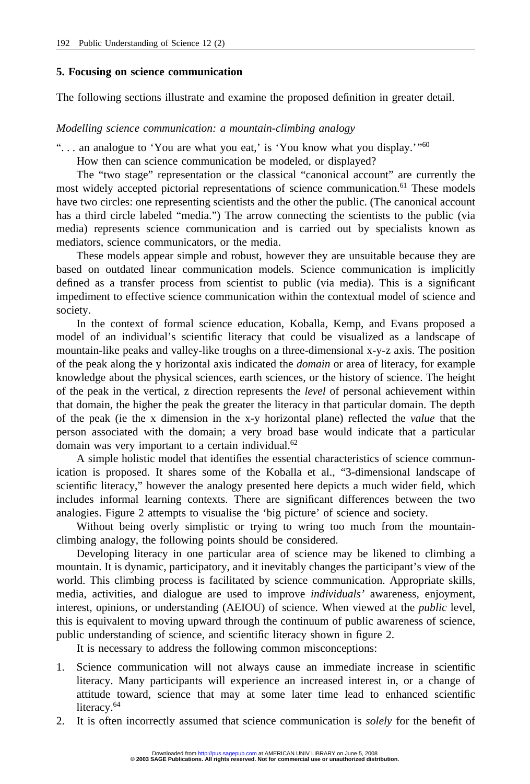#### **5. Focusing on science communication**

The following sections illustrate and examine the proposed definition in greater detail.

*Modelling science communication: a mountain-climbing analogy*

"... an analogue to 'You are what you eat,' is 'You know what you display.'"<sup>60</sup>

How then can science communication be modeled, or displayed?

The "two stage" representation or the classical "canonical account" are currently the most widely accepted pictorial representations of science communication.<sup>61</sup> These models have two circles: one representing scientists and the other the public. (The canonical account has a third circle labeled "media.") The arrow connecting the scientists to the public (via media) represents science communication and is carried out by specialists known as mediators, science communicators, or the media.

These models appear simple and robust, however they are unsuitable because they are based on outdated linear communication models. Science communication is implicitly defined as a transfer process from scientist to public (via media). This is a significant impediment to effective science communication within the contextual model of science and society.

In the context of formal science education, Koballa, Kemp, and Evans proposed a model of an individual's scientific literacy that could be visualized as a landscape of mountain-like peaks and valley-like troughs on a three-dimensional x-y-z axis. The position of the peak along the y horizontal axis indicated the *domain* or area of literacy, for example knowledge about the physical sciences, earth sciences, or the history of science. The height of the peak in the vertical, z direction represents the *level* of personal achievement within that domain, the higher the peak the greater the literacy in that particular domain. The depth of the peak (ie the x dimension in the x-y horizontal plane) reflected the *value* that the person associated with the domain; a very broad base would indicate that a particular domain was very important to a certain individual.<sup>62</sup>

A simple holistic model that identifies the essential characteristics of science communication is proposed. It shares some of the Koballa et al., "3-dimensional landscape of scientific literacy," however the analogy presented here depicts a much wider field, which includes informal learning contexts. There are significant differences between the two analogies. Figure 2 attempts to visualise the 'big picture' of science and society.

Without being overly simplistic or trying to wring too much from the mountainclimbing analogy, the following points should be considered.

Developing literacy in one particular area of science may be likened to climbing a mountain. It is dynamic, participatory, and it inevitably changes the participant's view of the world. This climbing process is facilitated by science communication. Appropriate skills, media, activities, and dialogue are used to improve *individuals'* awareness, enjoyment, interest, opinions, or understanding (AEIOU) of science. When viewed at the *public* level, this is equivalent to moving upward through the continuum of public awareness of science, public understanding of science, and scientific literacy shown in figure 2.

It is necessary to address the following common misconceptions:

- 1. Science communication will not always cause an immediate increase in scientific literacy. Many participants will experience an increased interest in, or a change of attitude toward, science that may at some later time lead to enhanced scientific literacy.<sup>64</sup>
- 2. It is often incorrectly assumed that science communication is *solely* for the benefit of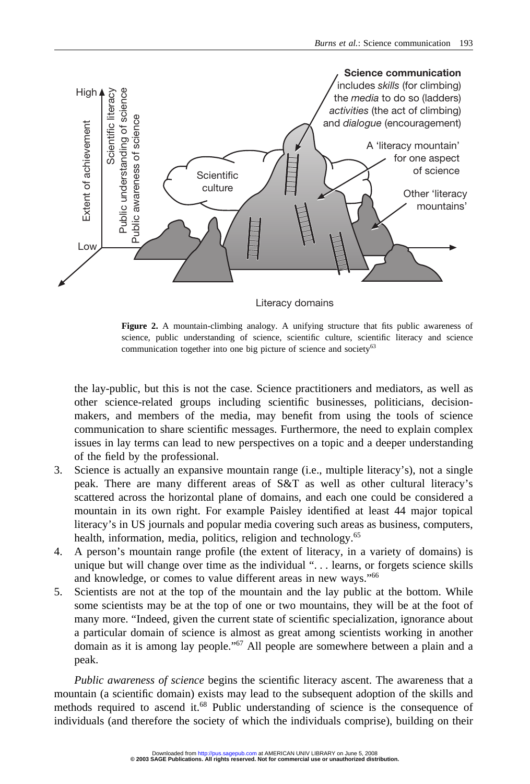

Literacy domains

**Figure 2.** A mountain-climbing analogy. A unifying structure that fits public awareness of science, public understanding of science, scientific culture, scientific literacy and science communication together into one big picture of science and society<sup>63</sup>

the lay-public, but this is not the case. Science practitioners and mediators, as well as other science-related groups including scientific businesses, politicians, decisionmakers, and members of the media, may benefit from using the tools of science communication to share scientific messages. Furthermore, the need to explain complex issues in lay terms can lead to new perspectives on a topic and a deeper understanding of the field by the professional.

- 3. Science is actually an expansive mountain range (i.e., multiple literacy's), not a single peak. There are many different areas of S&T as well as other cultural literacy's scattered across the horizontal plane of domains, and each one could be considered a mountain in its own right. For example Paisley identified at least 44 major topical literacy's in US journals and popular media covering such areas as business, computers, health, information, media, politics, religion and technology.<sup>65</sup>
- 4. A person's mountain range profile (the extent of literacy, in a variety of domains) is unique but will change over time as the individual ". . . learns, or forgets science skills and knowledge, or comes to value different areas in new ways."66
- 5. Scientists are not at the top of the mountain and the lay public at the bottom. While some scientists may be at the top of one or two mountains, they will be at the foot of many more. "Indeed, given the current state of scientific specialization, ignorance about a particular domain of science is almost as great among scientists working in another domain as it is among lay people."67 All people are somewhere between a plain and a peak.

*Public awareness of science* begins the scientific literacy ascent. The awareness that a mountain (a scientific domain) exists may lead to the subsequent adoption of the skills and methods required to ascend it.<sup>68</sup> Public understanding of science is the consequence of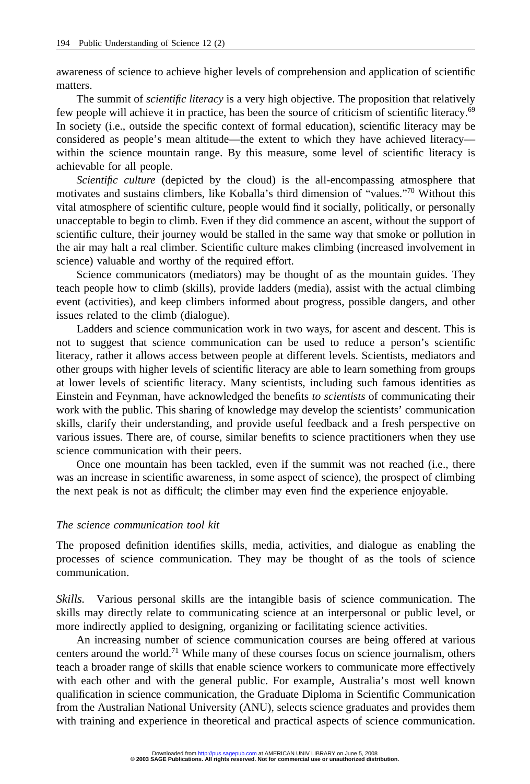awareness of science to achieve higher levels of comprehension and application of scientific matters.

The summit of *scientific literacy* is a very high objective. The proposition that relatively few people will achieve it in practice, has been the source of criticism of scientific literacy.69 In society (i.e., outside the specific context of formal education), scientific literacy may be considered as people's mean altitude—the extent to which they have achieved literacy within the science mountain range. By this measure, some level of scientific literacy is achievable for all people.

*Scientific culture* (depicted by the cloud) is the all-encompassing atmosphere that motivates and sustains climbers, like Koballa's third dimension of "values."70 Without this vital atmosphere of scientific culture, people would find it socially, politically, or personally unacceptable to begin to climb. Even if they did commence an ascent, without the support of scientific culture, their journey would be stalled in the same way that smoke or pollution in the air may halt a real climber. Scientific culture makes climbing (increased involvement in science) valuable and worthy of the required effort.

Science communicators (mediators) may be thought of as the mountain guides. They teach people how to climb (skills), provide ladders (media), assist with the actual climbing event (activities), and keep climbers informed about progress, possible dangers, and other issues related to the climb (dialogue).

Ladders and science communication work in two ways, for ascent and descent. This is not to suggest that science communication can be used to reduce a person's scientific literacy, rather it allows access between people at different levels. Scientists, mediators and other groups with higher levels of scientific literacy are able to learn something from groups at lower levels of scientific literacy. Many scientists, including such famous identities as Einstein and Feynman, have acknowledged the benefits *to scientists* of communicating their work with the public. This sharing of knowledge may develop the scientists' communication skills, clarify their understanding, and provide useful feedback and a fresh perspective on various issues. There are, of course, similar benefits to science practitioners when they use science communication with their peers.

Once one mountain has been tackled, even if the summit was not reached (i.e., there was an increase in scientific awareness, in some aspect of science), the prospect of climbing the next peak is not as difficult; the climber may even find the experience enjoyable.

# *The science communication tool kit*

The proposed definition identifies skills, media, activities, and dialogue as enabling the processes of science communication. They may be thought of as the tools of science communication.

*Skills.* Various personal skills are the intangible basis of science communication. The skills may directly relate to communicating science at an interpersonal or public level, or more indirectly applied to designing, organizing or facilitating science activities.

An increasing number of science communication courses are being offered at various centers around the world.<sup>71</sup> While many of these courses focus on science journalism, others teach a broader range of skills that enable science workers to communicate more effectively with each other and with the general public. For example, Australia's most well known qualification in science communication, the Graduate Diploma in Scientific Communication from the Australian National University (ANU), selects science graduates and provides them with training and experience in theoretical and practical aspects of science communication.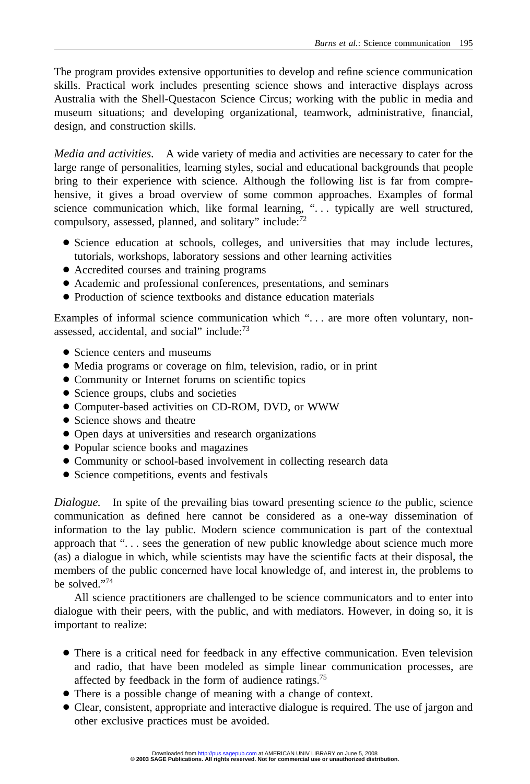The program provides extensive opportunities to develop and refine science communication skills. Practical work includes presenting science shows and interactive displays across Australia with the Shell-Questacon Science Circus; working with the public in media and museum situations; and developing organizational, teamwork, administrative, financial, design, and construction skills.

*Media and activities.* A wide variety of media and activities are necessary to cater for the large range of personalities, learning styles, social and educational backgrounds that people bring to their experience with science. Although the following list is far from comprehensive, it gives a broad overview of some common approaches. Examples of formal science communication which, like formal learning, "... typically are well structured, compulsory, assessed, planned, and solitary" include:<sup>72</sup>

- Science education at schools, colleges, and universities that may include lectures, tutorials, workshops, laboratory sessions and other learning activities
- Accredited courses and training programs
- Academic and professional conferences, presentations, and seminars
- Production of science textbooks and distance education materials

Examples of informal science communication which "... are more often voluntary, nonassessed, accidental, and social" include: $73$ 

- Science centers and museums
- Media programs or coverage on film, television, radio, or in print
- Community or Internet forums on scientific topics
- Science groups, clubs and societies
- Computer-based activities on CD-ROM, DVD, or WWW
- Science shows and theatre
- Open days at universities and research organizations
- Popular science books and magazines
- Community or school-based involvement in collecting research data
- Science competitions, events and festivals

*Dialogue.* In spite of the prevailing bias toward presenting science *to* the public, science communication as defined here cannot be considered as a one-way dissemination of information to the lay public. Modern science communication is part of the contextual approach that ". . . sees the generation of new public knowledge about science much more (as) a dialogue in which, while scientists may have the scientific facts at their disposal, the members of the public concerned have local knowledge of, and interest in, the problems to be solved."74

All science practitioners are challenged to be science communicators and to enter into dialogue with their peers, with the public, and with mediators. However, in doing so, it is important to realize:

- There is a critical need for feedback in any effective communication. Even television and radio, that have been modeled as simple linear communication processes, are affected by feedback in the form of audience ratings.75
- There is a possible change of meaning with a change of context.
- Clear, consistent, appropriate and interactive dialogue is required. The use of jargon and other exclusive practices must be avoided.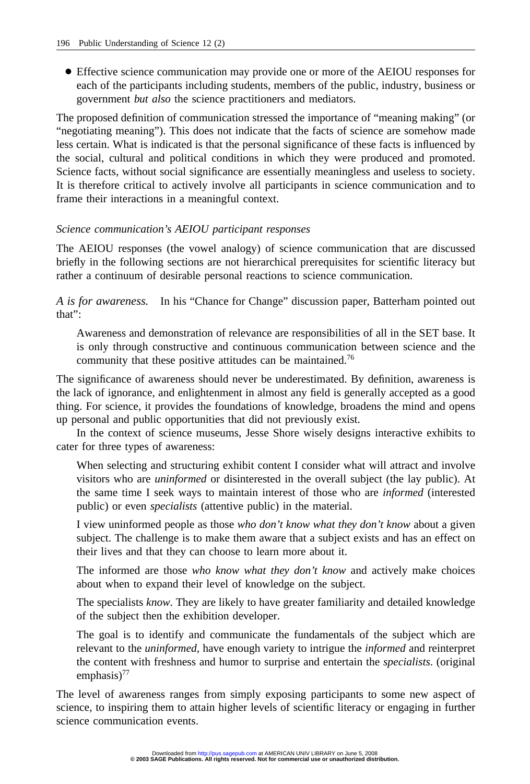● Effective science communication may provide one or more of the AEIOU responses for each of the participants including students, members of the public, industry, business or government *but also* the science practitioners and mediators.

The proposed definition of communication stressed the importance of "meaning making" (or "negotiating meaning"). This does not indicate that the facts of science are somehow made less certain. What is indicated is that the personal significance of these facts is influenced by the social, cultural and political conditions in which they were produced and promoted. Science facts, without social significance are essentially meaningless and useless to society. It is therefore critical to actively involve all participants in science communication and to frame their interactions in a meaningful context.

# *Science communication's AEIOU participant responses*

The AEIOU responses (the vowel analogy) of science communication that are discussed briefly in the following sections are not hierarchical prerequisites for scientific literacy but rather a continuum of desirable personal reactions to science communication.

*A is for awareness.* In his "Chance for Change" discussion paper, Batterham pointed out that":

Awareness and demonstration of relevance are responsibilities of all in the SET base. It is only through constructive and continuous communication between science and the community that these positive attitudes can be maintained.<sup>76</sup>

The significance of awareness should never be underestimated. By definition, awareness is the lack of ignorance, and enlightenment in almost any field is generally accepted as a good thing. For science, it provides the foundations of knowledge, broadens the mind and opens up personal and public opportunities that did not previously exist.

In the context of science museums, Jesse Shore wisely designs interactive exhibits to cater for three types of awareness:

When selecting and structuring exhibit content I consider what will attract and involve visitors who are *uninformed* or disinterested in the overall subject (the lay public). At the same time I seek ways to maintain interest of those who are *informed* (interested public) or even *specialists* (attentive public) in the material.

I view uninformed people as those *who don't know what they don't know* about a given subject. The challenge is to make them aware that a subject exists and has an effect on their lives and that they can choose to learn more about it.

The informed are those *who know what they don't know* and actively make choices about when to expand their level of knowledge on the subject.

The specialists *know*. They are likely to have greater familiarity and detailed knowledge of the subject then the exhibition developer.

The goal is to identify and communicate the fundamentals of the subject which are relevant to the *uninformed*, have enough variety to intrigue the *informed* and reinterpret the content with freshness and humor to surprise and entertain the *specialists*. (original emphasis) $^{77}$ 

The level of awareness ranges from simply exposing participants to some new aspect of science, to inspiring them to attain higher levels of scientific literacy or engaging in further science communication events.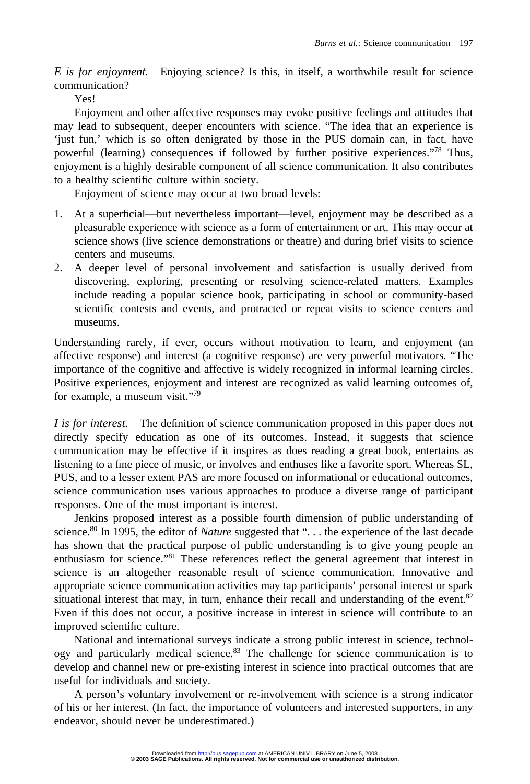*E is for enjoyment.* Enjoying science? Is this, in itself, a worthwhile result for science communication?

Yes!

Enjoyment and other affective responses may evoke positive feelings and attitudes that may lead to subsequent, deeper encounters with science. "The idea that an experience is 'just fun,' which is so often denigrated by those in the PUS domain can, in fact, have powerful (learning) consequences if followed by further positive experiences."78 Thus, enjoyment is a highly desirable component of all science communication. It also contributes to a healthy scientific culture within society.

Enjoyment of science may occur at two broad levels:

- 1. At a superficial—but nevertheless important—level, enjoyment may be described as a pleasurable experience with science as a form of entertainment or art. This may occur at science shows (live science demonstrations or theatre) and during brief visits to science centers and museums.
- 2. A deeper level of personal involvement and satisfaction is usually derived from discovering, exploring, presenting or resolving science-related matters. Examples include reading a popular science book, participating in school or community-based scientific contests and events, and protracted or repeat visits to science centers and museums.

Understanding rarely, if ever, occurs without motivation to learn, and enjoyment (an affective response) and interest (a cognitive response) are very powerful motivators. "The importance of the cognitive and affective is widely recognized in informal learning circles. Positive experiences, enjoyment and interest are recognized as valid learning outcomes of, for example, a museum visit."79

*I is for interest.* The definition of science communication proposed in this paper does not directly specify education as one of its outcomes. Instead, it suggests that science communication may be effective if it inspires as does reading a great book, entertains as listening to a fine piece of music, or involves and enthuses like a favorite sport. Whereas SL, PUS, and to a lesser extent PAS are more focused on informational or educational outcomes, science communication uses various approaches to produce a diverse range of participant responses. One of the most important is interest.

Jenkins proposed interest as a possible fourth dimension of public understanding of science.<sup>80</sup> In 1995, the editor of *Nature* suggested that "... the experience of the last decade has shown that the practical purpose of public understanding is to give young people an enthusiasm for science."81 These references reflect the general agreement that interest in science is an altogether reasonable result of science communication. Innovative and appropriate science communication activities may tap participants' personal interest or spark situational interest that may, in turn, enhance their recall and understanding of the event. $82$ Even if this does not occur, a positive increase in interest in science will contribute to an improved scientific culture.

National and international surveys indicate a strong public interest in science, technology and particularly medical science.<sup>83</sup> The challenge for science communication is to develop and channel new or pre-existing interest in science into practical outcomes that are useful for individuals and society.

A person's voluntary involvement or re-involvement with science is a strong indicator of his or her interest. (In fact, the importance of volunteers and interested supporters, in any endeavor, should never be underestimated.)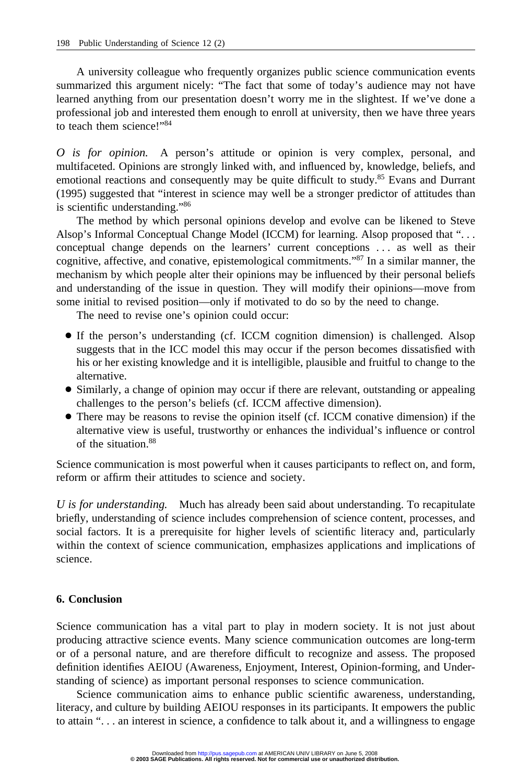A university colleague who frequently organizes public science communication events summarized this argument nicely: "The fact that some of today's audience may not have learned anything from our presentation doesn't worry me in the slightest. If we've done a professional job and interested them enough to enroll at university, then we have three years to teach them science!"<sup>84</sup>

*O is for opinion.* A person's attitude or opinion is very complex, personal, and multifaceted. Opinions are strongly linked with, and influenced by, knowledge, beliefs, and emotional reactions and consequently may be quite difficult to study.<sup>85</sup> Evans and Durrant (1995) suggested that "interest in science may well be a stronger predictor of attitudes than is scientific understanding."86

The method by which personal opinions develop and evolve can be likened to Steve Alsop's Informal Conceptual Change Model (ICCM) for learning. Alsop proposed that ". . . conceptual change depends on the learners' current conceptions . . . as well as their cognitive, affective, and conative, epistemological commitments."87 In a similar manner, the mechanism by which people alter their opinions may be influenced by their personal beliefs and understanding of the issue in question. They will modify their opinions—move from some initial to revised position—only if motivated to do so by the need to change.

The need to revise one's opinion could occur:

- If the person's understanding (cf. ICCM cognition dimension) is challenged. Alsop suggests that in the ICC model this may occur if the person becomes dissatisfied with his or her existing knowledge and it is intelligible, plausible and fruitful to change to the alternative.
- Similarly, a change of opinion may occur if there are relevant, outstanding or appealing challenges to the person's beliefs (cf. ICCM affective dimension).
- There may be reasons to revise the opinion itself (cf. ICCM conative dimension) if the alternative view is useful, trustworthy or enhances the individual's influence or control of the situation.88

Science communication is most powerful when it causes participants to reflect on, and form, reform or affirm their attitudes to science and society.

*U is for understanding.* Much has already been said about understanding. To recapitulate briefly, understanding of science includes comprehension of science content, processes, and social factors. It is a prerequisite for higher levels of scientific literacy and, particularly within the context of science communication, emphasizes applications and implications of science.

# **6. Conclusion**

Science communication has a vital part to play in modern society. It is not just about producing attractive science events. Many science communication outcomes are long-term or of a personal nature, and are therefore difficult to recognize and assess. The proposed definition identifies AEIOU (Awareness, Enjoyment, Interest, Opinion-forming, and Understanding of science) as important personal responses to science communication.

Science communication aims to enhance public scientific awareness, understanding, literacy, and culture by building AEIOU responses in its participants. It empowers the public to attain ". . . an interest in science, a confidence to talk about it, and a willingness to engage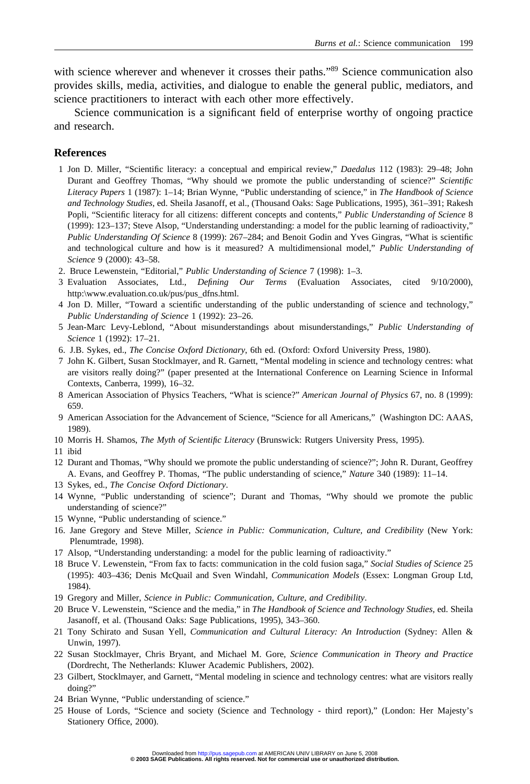with science wherever and whenever it crosses their paths."<sup>89</sup> Science communication also provides skills, media, activities, and dialogue to enable the general public, mediators, and science practitioners to interact with each other more effectively.

Science communication is a significant field of enterprise worthy of ongoing practice and research.

# **References**

- 1 Jon D. Miller, "Scientific literacy: a conceptual and empirical review," *Daedalus* 112 (1983): 29–48; John Durant and Geoffrey Thomas, "Why should we promote the public understanding of science?" *Scientific Literacy Papers* 1 (1987): 1–14; Brian Wynne, "Public understanding of science," in *The Handbook of Science and Technology Studies*, ed. Sheila Jasanoff, et al., (Thousand Oaks: Sage Publications, 1995), 361–391; Rakesh Popli, "Scientific literacy for all citizens: different concepts and contents," *Public Understanding of Science* 8 (1999): 123–137; Steve Alsop, "Understanding understanding: a model for the public learning of radioactivity," *Public Understanding Of Science* 8 (1999): 267–284; and Benoit Godin and Yves Gingras, "What is scientific and technological culture and how is it measured? A multidimensional model," *Public Understanding of Science* 9 (2000): 43–58.
- 2. Bruce Lewenstein, "Editorial," *Public Understanding of Science* 7 (1998): 1–3.
- 3 Evaluation Associates, Ltd., *Defining Our Terms* (Evaluation Associates, cited 9/10/2000), http:\www.evaluation.co.uk/pus/pus\_dfns.html.
- 4 Jon D. Miller, "Toward a scientific understanding of the public understanding of science and technology," *Public Understanding of Science* 1 (1992): 23–26.
- 5 Jean-Marc Levy-Leblond, "About misunderstandings about misunderstandings," *Public Understanding of Science* 1 (1992): 17–21.
- 6. J.B. Sykes, ed., *The Concise Oxford Dictionary*, 6th ed. (Oxford: Oxford University Press, 1980).
- 7 John K. Gilbert, Susan Stocklmayer, and R. Garnett, "Mental modeling in science and technology centres: what are visitors really doing?" (paper presented at the International Conference on Learning Science in Informal Contexts, Canberra, 1999), 16–32.
- 8 American Association of Physics Teachers, "What is science?" *American Journal of Physics* 67, no. 8 (1999): 659.
- 9 American Association for the Advancement of Science, "Science for all Americans," (Washington DC: AAAS, 1989).
- 10 Morris H. Shamos, *The Myth of Scientific Literacy* (Brunswick: Rutgers University Press, 1995).
- 11 ibid
- 12 Durant and Thomas, "Why should we promote the public understanding of science?"; John R. Durant, Geoffrey A. Evans, and Geoffrey P. Thomas, "The public understanding of science," *Nature* 340 (1989): 11–14.
- 13 Sykes, ed., *The Concise Oxford Dictionary*.
- 14 Wynne, "Public understanding of science"; Durant and Thomas, "Why should we promote the public understanding of science?"
- 15 Wynne, "Public understanding of science."
- 16. Jane Gregory and Steve Miller, *Science in Public: Communication, Culture, and Credibility* (New York: Plenumtrade, 1998).
- 17 Alsop, "Understanding understanding: a model for the public learning of radioactivity."
- 18 Bruce V. Lewenstein, "From fax to facts: communication in the cold fusion saga," *Social Studies of Science* 25 (1995): 403–436; Denis McQuail and Sven Windahl, *Communication Models* (Essex: Longman Group Ltd, 1984).
- 19 Gregory and Miller, *Science in Public: Communication, Culture, and Credibility*.
- 20 Bruce V. Lewenstein, "Science and the media," in *The Handbook of Science and Technology Studies*, ed. Sheila Jasanoff, et al. (Thousand Oaks: Sage Publications, 1995), 343–360.
- 21 Tony Schirato and Susan Yell, *Communication and Cultural Literacy: An Introduction* (Sydney: Allen & Unwin, 1997).
- 22 Susan Stocklmayer, Chris Bryant, and Michael M. Gore, *Science Communication in Theory and Practice* (Dordrecht, The Netherlands: Kluwer Academic Publishers, 2002).
- 23 Gilbert, Stocklmayer, and Garnett, "Mental modeling in science and technology centres: what are visitors really doing?"
- 24 Brian Wynne, "Public understanding of science."
- 25 House of Lords, "Science and society (Science and Technology third report)," (London: Her Majesty's Stationery Office, 2000).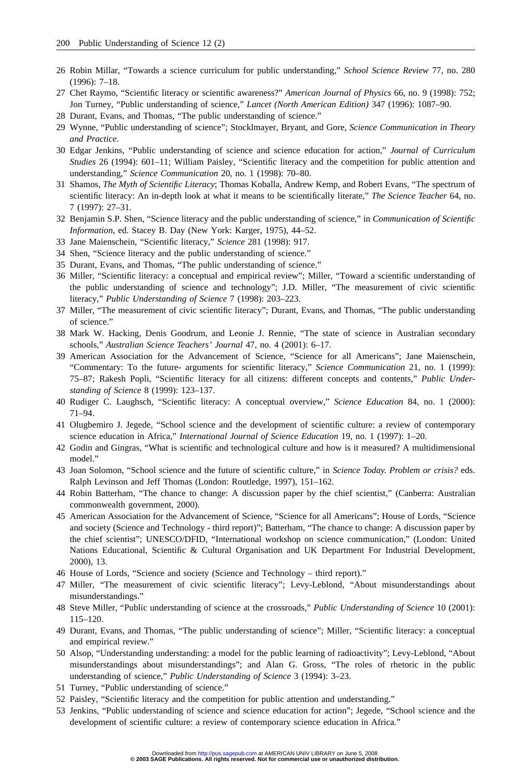- 26 Robin Millar, "Towards a science curriculum for public understanding," *School Science Review* 77, no. 280 (1996): 7–18.
- 27 Chet Raymo, "Scientific literacy or scientific awareness?" *American Journal of Physics* 66, no. 9 (1998): 752; Jon Turney, "Public understanding of science," *Lancet (North American Edition)* 347 (1996): 1087–90.
- 28 Durant, Evans, and Thomas, "The public understanding of science."
- 29 Wynne, "Public understanding of science"; Stocklmayer, Bryant, and Gore, *Science Communication in Theory and Practice*.
- 30 Edgar Jenkins, "Public understanding of science and science education for action," *Journal of Curriculum Studies* 26 (1994): 601–11; William Paisley, "Scientific literacy and the competition for public attention and understanding," *Science Communication* 20, no. 1 (1998): 70–80.
- 31 Shamos, *The Myth of Scientific Literacy*; Thomas Koballa, Andrew Kemp, and Robert Evans, "The spectrum of scientific literacy: An in-depth look at what it means to be scientifically literate," *The Science Teacher* 64, no. 7 (1997): 27–31.
- 32 Benjamin S.P. Shen, "Science literacy and the public understanding of science," in *Communication of Scientific Information*, ed. Stacey B. Day (New York: Karger, 1975), 44–52.
- 33 Jane Maienschein, "Scientific literacy," *Science* 281 (1998): 917.
- 34 Shen, "Science literacy and the public understanding of science."
- 35 Durant, Evans, and Thomas, "The public understanding of science."
- 36 Miller, "Scientific literacy: a conceptual and empirical review"; Miller, "Toward a scientific understanding of the public understanding of science and technology"; J.D. Miller, "The measurement of civic scientific literacy," *Public Understanding of Science* 7 (1998): 203–223.
- 37 Miller, "The measurement of civic scientific literacy"; Durant, Evans, and Thomas, "The public understanding of science."
- 38 Mark W. Hacking, Denis Goodrum, and Leonie J. Rennie, "The state of science in Australian secondary schools," *Australian Science Teachers' Journal* 47, no. 4 (2001): 6–17.
- 39 American Association for the Advancement of Science, "Science for all Americans"; Jane Maienschein, "Commentary: To the future- arguments for scientific literacy," *Science Communication* 21, no. 1 (1999): 75–87; Rakesh Popli, "Scientific literacy for all citizens: different concepts and contents," *Public Understanding of Science* 8 (1999): 123–137.
- 40 Rudiger C. Laughsch, "Scientific literacy: A conceptual overview," *Science Education* 84, no. 1 (2000): 71–94.
- 41 Olugbemiro J. Jegede, "School science and the development of scientific culture: a review of contemporary science education in Africa," *International Journal of Science Education* 19, no. 1 (1997): 1–20.
- 42 Godin and Gingras, "What is scientific and technological culture and how is it measured? A multidimensional model."
- 43 Joan Solomon, "School science and the future of scientific culture," in *Science Today. Problem or crisis?* eds. Ralph Levinson and Jeff Thomas (London: Routledge, 1997), 151–162.
- 44 Robin Batterham, "The chance to change: A discussion paper by the chief scientist," (Canberra: Australian commonwealth government, 2000).
- 45 American Association for the Advancement of Science, "Science for all Americans"; House of Lords, "Science and society (Science and Technology - third report)"; Batterham, "The chance to change: A discussion paper by the chief scientist"; UNESCO/DFID, "International workshop on science communication," (London: United Nations Educational, Scientific & Cultural Organisation and UK Department For Industrial Development, 2000), 13.
- 46 House of Lords, "Science and society (Science and Technology third report)."
- 47 Miller, "The measurement of civic scientific literacy"; Levy-Leblond, "About misunderstandings about misunderstandings."
- 48 Steve Miller, "Public understanding of science at the crossroads," *Public Understanding of Science* 10 (2001): 115–120.
- 49 Durant, Evans, and Thomas, "The public understanding of science"; Miller, "Scientific literacy: a conceptual and empirical review."
- 50 Alsop, "Understanding understanding: a model for the public learning of radioactivity"; Levy-Leblond, "About misunderstandings about misunderstandings"; and Alan G. Gross, "The roles of rhetoric in the public understanding of science," *Public Understanding of Science* 3 (1994): 3–23.
- 51 Turney, "Public understanding of science."
- 52 Paisley, "Scientific literacy and the competition for public attention and understanding."
- 53 Jenkins, "Public understanding of science and science education for action"; Jegede, "School science and the development of scientific culture: a review of contemporary science education in Africa."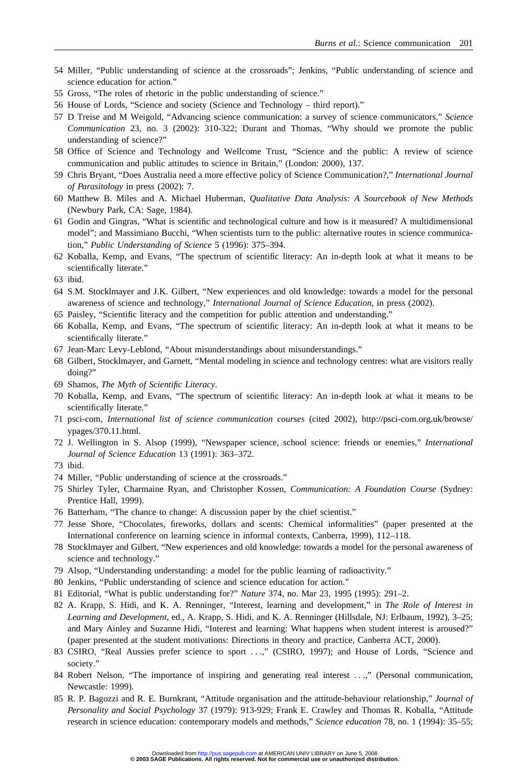- 54 Miller, "Public understanding of science at the crossroads"; Jenkins, "Public understanding of science and science education for action."
- 55 Gross, "The roles of rhetoric in the public understanding of science."
- 56 House of Lords, "Science and society (Science and Technology third report)."
- 57 D Treise and M Weigold, "Advancing science communication: a survey of science communicators," *Science Communication* 23, no. 3 (2002): 310-322; Durant and Thomas, "Why should we promote the public understanding of science?"
- 58 Office of Science and Technology and Wellcome Trust, "Science and the public: A review of science communication and public attitudes to science in Britain," (London: 2000), 137.
- 59 Chris Bryant, "Does Australia need a more effective policy of Science Communication?," *International Journal of Parasitology* in press (2002): 7.
- 60 Matthew B. Miles and A. Michael Huberman, *Qualitative Data Analysis: A Sourcebook of New Methods* (Newbury Park, CA: Sage, 1984).
- 61 Godin and Gingras, "What is scientific and technological culture and how is it measured? A multidimensional model"; and Massimiano Bucchi, "When scientists turn to the public: alternative routes in science communication," *Public Understanding of Science* 5 (1996): 375–394.
- 62 Koballa, Kemp, and Evans, "The spectrum of scientific literacy: An in-depth look at what it means to be scientifically literate."
- 63 ibid.
- 64 S.M. Stocklmayer and J.K. Gilbert, "New experiences and old knowledge: towards a model for the personal awareness of science and technology," *International Journal of Science Education,* in press (2002).
- 65 Paisley, "Scientific literacy and the competition for public attention and understanding."
- 66 Koballa, Kemp, and Evans, "The spectrum of scientific literacy: An in-depth look at what it means to be scientifically literate."
- 67 Jean-Marc Levy-Leblond, "About misunderstandings about misunderstandings."
- 68 Gilbert, Stocklmayer, and Garnett, "Mental modeling in science and technology centres: what are visitors really doing?"
- 69 Shamos, *The Myth of Scientific Literacy*.
- 70 Koballa, Kemp, and Evans, "The spectrum of scientific literacy: An in-depth look at what it means to be scientifically literate."
- 71 psci-com, *International list of science communication courses* (cited 2002), http://psci-com.org.uk/browse/ ypages/370.11.html.
- 72 J. Wellington in S. Alsop (1999), "Newspaper science, school science: friends or enemies," *International Journal of Science Education* 13 (1991): 363–372.

- 74 Miller, "Public understanding of science at the crossroads."
- 75 Shirley Tyler, Charmaine Ryan, and Christopher Kossen, *Communication: A Foundation Course* (Sydney: Prentice Hall, 1999).
- 76 Batterham, "The chance to change: A discussion paper by the chief scientist."
- 77 Jesse Shore, "Chocolates, fireworks, dollars and scents: Chemical informalities" (paper presented at the International conference on learning science in informal contexts, Canberra, 1999), 112–118.
- 78 Stocklmayer and Gilbert, "New experiences and old knowledge: towards a model for the personal awareness of science and technology."
- 79 Alsop, "Understanding understanding: a model for the public learning of radioactivity."
- 80 Jenkins, "Public understanding of science and science education for action."
- 81 Editorial, "What is public understanding for?" *Nature* 374, no. Mar 23, 1995 (1995): 291–2.
- 82 A. Krapp, S. Hidi, and K. A. Renninger, "Interest, learning and development," in *The Role of Interest in Learning and Development*, ed., A. Krapp, S. Hidi, and K. A. Renninger (Hillsdale, NJ: Erlbaum, 1992), 3–25; and Mary Ainley and Suzanne Hidi, "Interest and learning: What happens when student interest is aroused?" (paper presented at the student motivations: Directions in theory and practice, Canberra ACT, 2000).
- 83 CSIRO, "Real Aussies prefer science to sport . . .," (CSIRO, 1997); and House of Lords, "Science and society."
- 84 Robert Nelson, "The importance of inspiring and generating real interest . . .," (Personal communication, Newcastle: 1999).
- 85 R. P. Bagozzi and R. E. Burnkrant, "Attitude organisation and the attitude-behaviour relationship," *Journal of Personality and Social Psychology* 37 (1979): 913-929; Frank E. Crawley and Thomas R. Koballa, "Attitude research in science education: contemporary models and methods," *Science education* 78, no. 1 (1994): 35–55;

<sup>73</sup> ibid.